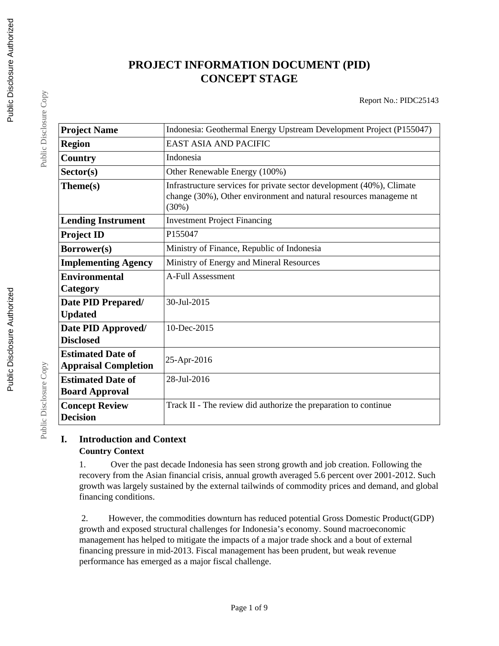# **PROJECT INFORMATION DOCUMENT (PID) CONCEPT STAGE**

Report No.: PIDC25143

| <b>Project Name</b>                                     | Indonesia: Geothermal Energy Upstream Development Project (P155047)                                                                                 |
|---------------------------------------------------------|-----------------------------------------------------------------------------------------------------------------------------------------------------|
| <b>Region</b>                                           | <b>EAST ASIA AND PACIFIC</b>                                                                                                                        |
| Country                                                 | Indonesia                                                                                                                                           |
| Sector(s)                                               | Other Renewable Energy (100%)                                                                                                                       |
| Theme(s)                                                | Infrastructure services for private sector development (40%), Climate<br>change (30%), Other environment and natural resources manageme nt<br>(30%) |
| <b>Lending Instrument</b>                               | <b>Investment Project Financing</b>                                                                                                                 |
| <b>Project ID</b>                                       | P155047                                                                                                                                             |
| Borrower(s)                                             | Ministry of Finance, Republic of Indonesia                                                                                                          |
| <b>Implementing Agency</b>                              | Ministry of Energy and Mineral Resources                                                                                                            |
| <b>Environmental</b>                                    | <b>A-Full Assessment</b>                                                                                                                            |
| Category                                                |                                                                                                                                                     |
| Date PID Prepared/<br><b>Updated</b>                    | 30-Jul-2015                                                                                                                                         |
| Date PID Approved/<br><b>Disclosed</b>                  | 10-Dec-2015                                                                                                                                         |
| <b>Estimated Date of</b><br><b>Appraisal Completion</b> | 25-Apr-2016                                                                                                                                         |
| <b>Estimated Date of</b><br><b>Board Approval</b>       | 28-Jul-2016                                                                                                                                         |
| <b>Concept Review</b><br><b>Decision</b>                | Track II - The review did authorize the preparation to continue                                                                                     |

### **I. Introduction and Context Country Context**

1. Over the past decade Indonesia has seen strong growth and job creation. Following the recovery from the Asian financial crisis, annual growth averaged 5.6 percent over 2001-2012. Such growth was largely sustained by the external tailwinds of commodity prices and demand, and global financing conditions.

 2. However, the commodities downturn has reduced potential Gross Domestic Product(GDP) growth and exposed structural challenges for Indonesia's economy. Sound macroeconomic management has helped to mitigate the impacts of a major trade shock and a bout of external financing pressure in mid-2013. Fiscal management has been prudent, but weak revenue performance has emerged as a major fiscal challenge.

Public Disclosure Copy

Public Disclosure Copy

Public Disclosure Copy

Public Disclosure Copy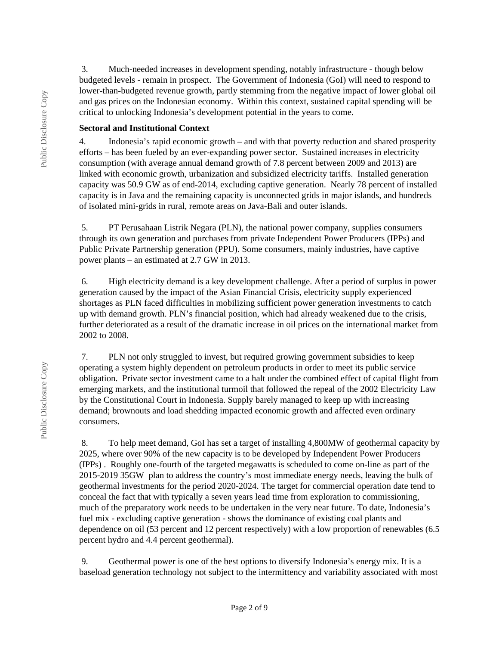3. Much-needed increases in development spending, notably infrastructure - though below budgeted levels - remain in prospect. The Government of Indonesia (GoI) will need to respond to lower-than-budgeted revenue growth, partly stemming from the negative impact of lower global oil and gas prices on the Indonesian economy. Within this context, sustained capital spending will be critical to unlocking Indonesia's development potential in the years to come.

#### **Sectoral and Institutional Context**

4. Indonesia's rapid economic growth – and with that poverty reduction and shared prosperity efforts – has been fueled by an ever-expanding power sector. Sustained increases in electricity consumption (with average annual demand growth of 7.8 percent between 2009 and 2013) are linked with economic growth, urbanization and subsidized electricity tariffs. Installed generation capacity was 50.9 GW as of end-2014, excluding captive generation. Nearly 78 percent of installed capacity is in Java and the remaining capacity is unconnected grids in major islands, and hundreds of isolated mini-grids in rural, remote areas on Java-Bali and outer islands.

 5. PT Perusahaan Listrik Negara (PLN), the national power company, supplies consumers through its own generation and purchases from private Independent Power Producers (IPPs) and Public Private Partnership generation (PPU). Some consumers, mainly industries, have captive power plants – an estimated at 2.7 GW in 2013.

 6. High electricity demand is a key development challenge. After a period of surplus in power generation caused by the impact of the Asian Financial Crisis, electricity supply experienced shortages as PLN faced difficulties in mobilizing sufficient power generation investments to catch up with demand growth. PLN's financial position, which had already weakened due to the crisis, further deteriorated as a result of the dramatic increase in oil prices on the international market from 2002 to 2008.

 7. PLN not only struggled to invest, but required growing government subsidies to keep operating a system highly dependent on petroleum products in order to meet its public service obligation. Private sector investment came to a halt under the combined effect of capital flight from emerging markets, and the institutional turmoil that followed the repeal of the 2002 Electricity Law by the Constitutional Court in Indonesia. Supply barely managed to keep up with increasing demand; brownouts and load shedding impacted economic growth and affected even ordinary consumers.

 8. To help meet demand, GoI has set a target of installing 4,800MW of geothermal capacity by 2025, where over 90% of the new capacity is to be developed by Independent Power Producers (IPPs) . Roughly one-fourth of the targeted megawatts is scheduled to come on-line as part of the 2015-2019 35GW plan to address the country's most immediate energy needs, leaving the bulk of geothermal investments for the period 2020-2024. The target for commercial operation date tend to conceal the fact that with typically a seven years lead time from exploration to commissioning, much of the preparatory work needs to be undertaken in the very near future. To date, Indonesia's fuel mix - excluding captive generation - shows the dominance of existing coal plants and dependence on oil (53 percent and 12 percent respectively) with a low proportion of renewables (6.5 percent hydro and 4.4 percent geothermal).

 9. Geothermal power is one of the best options to diversify Indonesia's energy mix. It is a baseload generation technology not subject to the intermittency and variability associated with most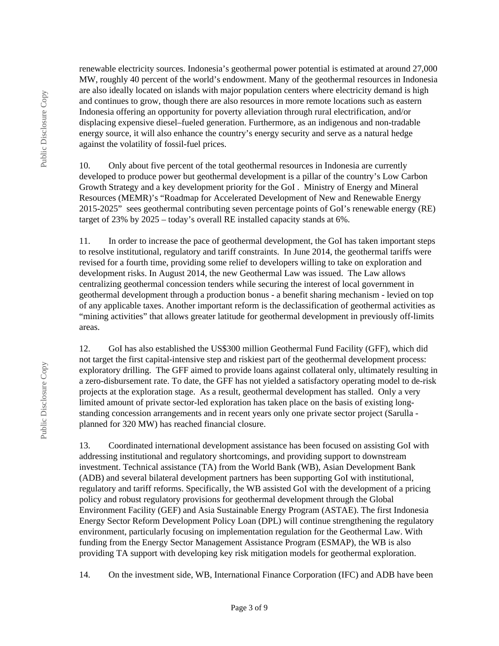renewable electricity sources. Indonesia's geothermal power potential is estimated at around 27,000 MW, roughly 40 percent of the world's endowment. Many of the geothermal resources in Indonesia are also ideally located on islands with major population centers where electricity demand is high and continues to grow, though there are also resources in more remote locations such as eastern Indonesia offering an opportunity for poverty alleviation through rural electrification, and/or displacing expensive diesel–fueled generation. Furthermore, as an indigenous and non-tradable energy source, it will also enhance the country's energy security and serve as a natural hedge against the volatility of fossil-fuel prices.

10. Only about five percent of the total geothermal resources in Indonesia are currently developed to produce power but geothermal development is a pillar of the country's Low Carbon Growth Strategy and a key development priority for the GoI . Ministry of Energy and Mineral Resources (MEMR)'s "Roadmap for Accelerated Development of New and Renewable Energy 2015-2025" sees geothermal contributing seven percentage points of GoI's renewable energy (RE) target of 23% by 2025 – today's overall RE installed capacity stands at 6%.

11. In order to increase the pace of geothermal development, the GoI has taken important steps to resolve institutional, regulatory and tariff constraints. In June 2014, the geothermal tariffs were revised for a fourth time, providing some relief to developers willing to take on exploration and development risks. In August 2014, the new Geothermal Law was issued. The Law allows centralizing geothermal concession tenders while securing the interest of local government in geothermal development through a production bonus - a benefit sharing mechanism - levied on top of any applicable taxes. Another important reform is the declassification of geothermal activities as "mining activities" that allows greater latitude for geothermal development in previously off-limits areas.

12. GoI has also established the US\$300 million Geothermal Fund Facility (GFF), which did not target the first capital-intensive step and riskiest part of the geothermal development process: exploratory drilling. The GFF aimed to provide loans against collateral only, ultimately resulting in a zero-disbursement rate. To date, the GFF has not yielded a satisfactory operating model to de-risk projects at the exploration stage. As a result, geothermal development has stalled. Only a very limited amount of private sector-led exploration has taken place on the basis of existing longstanding concession arrangements and in recent years only one private sector project (Sarulla planned for 320 MW) has reached financial closure.

13. Coordinated international development assistance has been focused on assisting GoI with addressing institutional and regulatory shortcomings, and providing support to downstream investment. Technical assistance (TA) from the World Bank (WB), Asian Development Bank (ADB) and several bilateral development partners has been supporting GoI with institutional, regulatory and tariff reforms. Specifically, the WB assisted GoI with the development of a pricing policy and robust regulatory provisions for geothermal development through the Global Environment Facility (GEF) and Asia Sustainable Energy Program (ASTAE). The first Indonesia Energy Sector Reform Development Policy Loan (DPL) will continue strengthening the regulatory environment, particularly focusing on implementation regulation for the Geothermal Law. With funding from the Energy Sector Management Assistance Program (ESMAP), the WB is also providing TA support with developing key risk mitigation models for geothermal exploration.

14. On the investment side, WB, International Finance Corporation (IFC) and ADB have been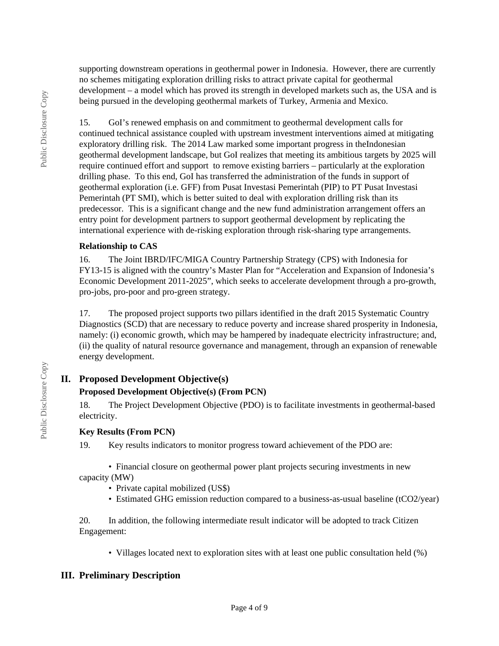supporting downstream operations in geothermal power in Indonesia. However, there are currently no schemes mitigating exploration drilling risks to attract private capital for geothermal development – a model which has proved its strength in developed markets such as, the USA and is being pursued in the developing geothermal markets of Turkey, Armenia and Mexico.

15. GoI's renewed emphasis on and commitment to geothermal development calls for continued technical assistance coupled with upstream investment interventions aimed at mitigating exploratory drilling risk. The 2014 Law marked some important progress in theIndonesian geothermal development landscape, but GoI realizes that meeting its ambitious targets by 2025 will require continued effort and support to remove existing barriers – particularly at the exploration drilling phase. To this end, GoI has transferred the administration of the funds in support of geothermal exploration (i.e. GFF) from Pusat Investasi Pemerintah (PIP) to PT Pusat Investasi Pemerintah (PT SMI), which is better suited to deal with exploration drilling risk than its predecessor. This is a significant change and the new fund administration arrangement offers an entry point for development partners to support geothermal development by replicating the international experience with de-risking exploration through risk-sharing type arrangements.

#### **Relationship to CAS**

16. The Joint IBRD/IFC/MIGA Country Partnership Strategy (CPS) with Indonesia for FY13-15 is aligned with the country's Master Plan for "Acceleration and Expansion of Indonesia's Economic Development 2011-2025", which seeks to accelerate development through a pro-growth, pro-jobs, pro-poor and pro-green strategy.

17. The proposed project supports two pillars identified in the draft 2015 Systematic Country Diagnostics (SCD) that are necessary to reduce poverty and increase shared prosperity in Indonesia, namely: (i) economic growth, which may be hampered by inadequate electricity infrastructure; and, (ii) the quality of natural resource governance and management, through an expansion of renewable energy development.

# **II. Proposed Development Objective(s)**

### **Proposed Development Objective(s) (From PCN)**

18. The Project Development Objective (PDO) is to facilitate investments in geothermal-based electricity.

#### **Key Results (From PCN)**

19. Key results indicators to monitor progress toward achievement of the PDO are:

• Financial closure on geothermal power plant projects securing investments in new capacity (MW)

- Private capital mobilized (US\$)
- Estimated GHG emission reduction compared to a business-as-usual baseline (tCO2/year)

20. In addition, the following intermediate result indicator will be adopted to track Citizen Engagement:

• Villages located next to exploration sites with at least one public consultation held (%)

### **III. Preliminary Description**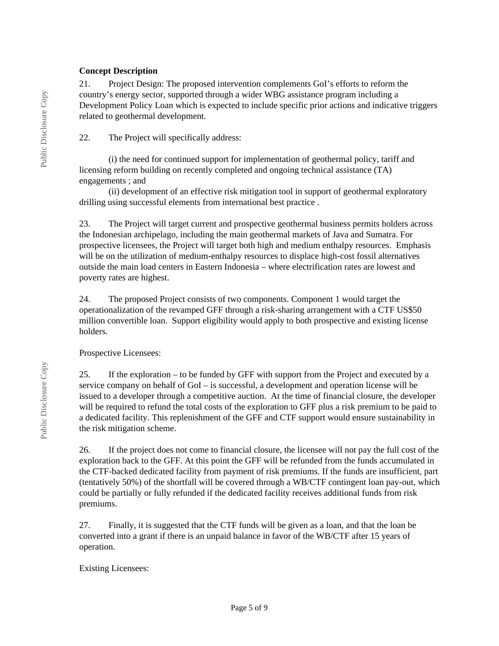#### **Concept Description**

21. Project Design: The proposed intervention complements GoI's efforts to reform the country's energy sector, supported through a wider WBG assistance program including a Development Policy Loan which is expected to include specific prior actions and indicative triggers related to geothermal development.

22. The Project will specifically address:

(i) the need for continued support for implementation of geothermal policy, tariff and licensing reform building on recently completed and ongoing technical assistance (TA) engagements ; and

(ii) development of an effective risk mitigation tool in support of geothermal exploratory drilling using successful elements from international best practice .

23. The Project will target current and prospective geothermal business permits holders across the Indonesian archipelago, including the main geothermal markets of Java and Sumatra. For prospective licensees, the Project will target both high and medium enthalpy resources. Emphasis will be on the utilization of medium-enthalpy resources to displace high-cost fossil alternatives outside the main load centers in Eastern Indonesia – where electrification rates are lowest and poverty rates are highest.

24. The proposed Project consists of two components. Component 1 would target the operationalization of the revamped GFF through a risk-sharing arrangement with a CTF US\$50 million convertible loan. Support eligibility would apply to both prospective and existing license holders.

Prospective Licensees:

25. If the exploration – to be funded by GFF with support from the Project and executed by a service company on behalf of GoI – is successful, a development and operation license will be issued to a developer through a competitive auction. At the time of financial closure, the developer will be required to refund the total costs of the exploration to GFF plus a risk premium to be paid to a dedicated facility. This replenishment of the GFF and CTF support would ensure sustainability in the risk mitigation scheme.

26. If the project does not come to financial closure, the licensee will not pay the full cost of the exploration back to the GFF. At this point the GFF will be refunded from the funds accumulated in the CTF-backed dedicated facility from payment of risk premiums. If the funds are insufficient, part (tentatively 50%) of the shortfall will be covered through a WB/CTF contingent loan pay-out, which could be partially or fully refunded if the dedicated facility receives additional funds from risk premiums.

27. Finally, it is suggested that the CTF funds will be given as a loan, and that the loan be converted into a grant if there is an unpaid balance in favor of the WB/CTF after 15 years of operation.

#### Existing Licensees: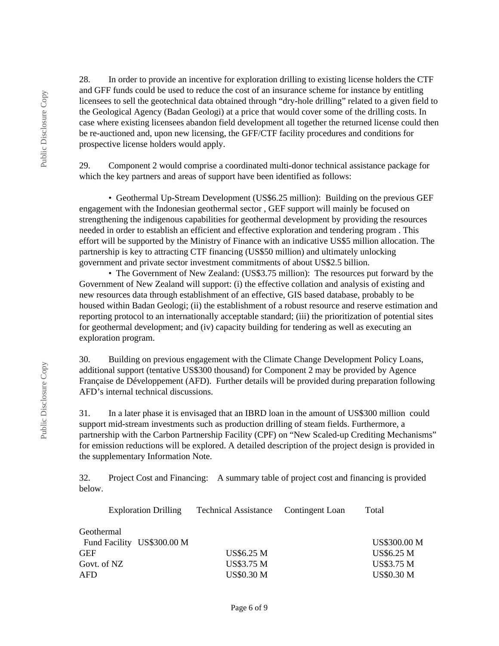28. In order to provide an incentive for exploration drilling to existing license holders the CTF and GFF funds could be used to reduce the cost of an insurance scheme for instance by entitling licensees to sell the geotechnical data obtained through "dry-hole drilling" related to a given field to the Geological Agency (Badan Geologi) at a price that would cover some of the drilling costs. In case where existing licensees abandon field development all together the returned license could then be re-auctioned and, upon new licensing, the GFF/CTF facility procedures and conditions for prospective license holders would apply.

29. Component 2 would comprise a coordinated multi-donor technical assistance package for which the key partners and areas of support have been identified as follows:

• Geothermal Up-Stream Development (US\$6.25 million): Building on the previous GEF engagement with the Indonesian geothermal sector , GEF support will mainly be focused on strengthening the indigenous capabilities for geothermal development by providing the resources needed in order to establish an efficient and effective exploration and tendering program . This effort will be supported by the Ministry of Finance with an indicative US\$5 million allocation. The partnership is key to attracting CTF financing (US\$50 million) and ultimately unlocking government and private sector investment commitments of about US\$2.5 billion.

• The Government of New Zealand: (US\$3.75 million): The resources put forward by the Government of New Zealand will support: (i) the effective collation and analysis of existing and new resources data through establishment of an effective, GIS based database, probably to be housed within Badan Geologi; (ii) the establishment of a robust resource and reserve estimation and reporting protocol to an internationally acceptable standard; (iii) the prioritization of potential sites for geothermal development; and (iv) capacity building for tendering as well as executing an exploration program.

30. Building on previous engagement with the Climate Change Development Policy Loans, additional support (tentative US\$300 thousand) for Component 2 may be provided by Agence Française de Développement (AFD). Further details will be provided during preparation following AFD's internal technical discussions.

31. In a later phase it is envisaged that an IBRD loan in the amount of US\$300 million could support mid-stream investments such as production drilling of steam fields. Furthermore, a partnership with the Carbon Partnership Facility (CPF) on "New Scaled-up Crediting Mechanisms" for emission reductions will be explored. A detailed description of the project design is provided in the supplementary Information Note.

32. Project Cost and Financing: A summary table of project cost and financing is provided below.

| <b>Exploration Drilling</b> | Technical Assistance Contingent Loan | Total               |
|-----------------------------|--------------------------------------|---------------------|
| Geothermal                  |                                      |                     |
| Fund Facility US\$300.00 M  |                                      | <b>US\$300.00 M</b> |
| <b>GEF</b>                  | <b>US\$6.25 M</b>                    | <b>US\$6.25 M</b>   |
| Govt. of NZ                 | <b>US\$3.75 M</b>                    | <b>US\$3.75 M</b>   |
| <b>AFD</b>                  | <b>US\$0.30 M</b>                    | <b>US\$0.30 M</b>   |
|                             |                                      |                     |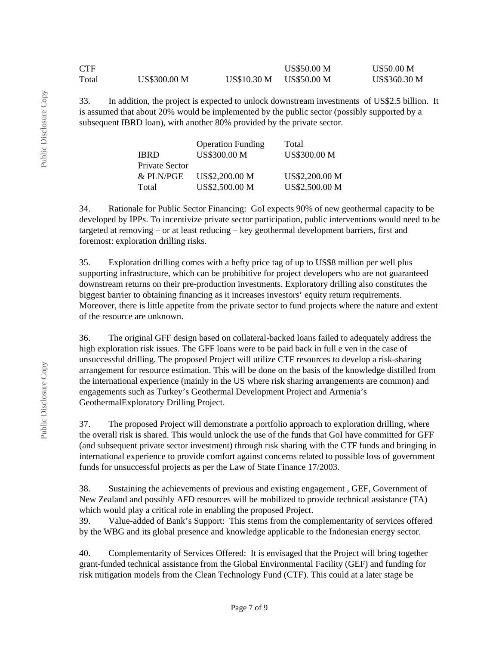| ${\rm CTF}$ |                     |                    | <b>US\$50.00 M</b> | <b>US50.00 M</b>    |
|-------------|---------------------|--------------------|--------------------|---------------------|
| Total       | <b>US\$300.00 M</b> | <b>US\$10.30 M</b> | US\$50.00 M        | <b>US\$360.30 M</b> |

33. In addition, the project is expected to unlock downstream investments of US\$2.5 billion. It is assumed that about 20% would be implemented by the public sector (possibly supported by a subsequent IBRD loan), with another 80% provided by the private sector.

|                | <b>Operation Funding</b> | Total               |
|----------------|--------------------------|---------------------|
| <b>IBRD</b>    | <b>US\$300.00 M</b>      | <b>US\$300.00 M</b> |
| Private Sector |                          |                     |
| & PLN/PGE      | US\$2,200.00 M           | US\$2,200.00 M      |
| Total          | US\$2,500.00 M           | US\$2,500.00 M      |

34. Rationale for Public Sector Financing: GoI expects 90% of new geothermal capacity to be developed by IPPs. To incentivize private sector participation, public interventions would need to be targeted at removing – or at least reducing – key geothermal development barriers, first and foremost: exploration drilling risks.

35. Exploration drilling comes with a hefty price tag of up to US\$8 million per well plus supporting infrastructure, which can be prohibitive for project developers who are not guaranteed downstream returns on their pre-production investments. Exploratory drilling also constitutes the biggest barrier to obtaining financing as it increases investors' equity return requirements. Moreover, there is little appetite from the private sector to fund projects where the nature and extent of the resource are unknown.

36. The original GFF design based on collateral-backed loans failed to adequately address the high exploration risk issues. The GFF loans were to be paid back in full e ven in the case of unsuccessful drilling. The proposed Project will utilize CTF resources to develop a risk-sharing arrangement for resource estimation. This will be done on the basis of the knowledge distilled from the international experience (mainly in the US where risk sharing arrangements are common) and engagements such as Turkey's Geothermal Development Project and Armenia's GeothermalExploratory Drilling Project.

37. The proposed Project will demonstrate a portfolio approach to exploration drilling, where the overall risk is shared. This would unlock the use of the funds that GoI have committed for GFF (and subsequent private sector investment) through risk sharing with the CTF funds and bringing in international experience to provide comfort against concerns related to possible loss of government funds for unsuccessful projects as per the Law of State Finance 17/2003.

38. Sustaining the achievements of previous and existing engagement , GEF, Government of New Zealand and possibly AFD resources will be mobilized to provide technical assistance (TA) which would play a critical role in enabling the proposed Project.

39. Value-added of Bank's Support: This stems from the complementarity of services offered by the WBG and its global presence and knowledge applicable to the Indonesian energy sector.

40. Complementarity of Services Offered: It is envisaged that the Project will bring together grant-funded technical assistance from the Global Environmental Facility (GEF) and funding for risk mitigation models from the Clean Technology Fund (CTF). This could at a later stage be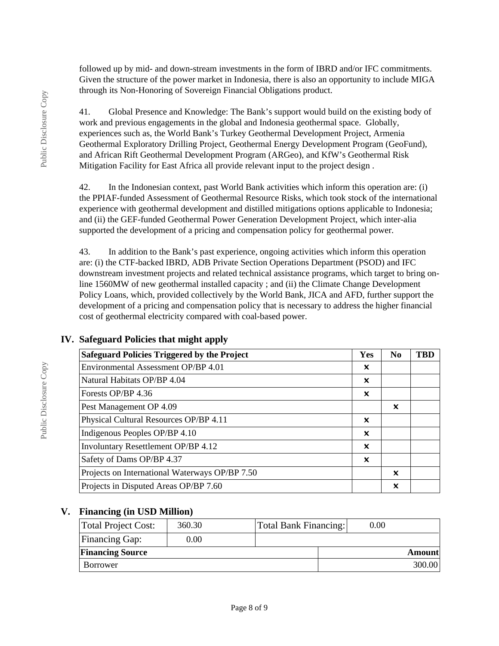followed up by mid- and down-stream investments in the form of IBRD and/or IFC commitments. Given the structure of the power market in Indonesia, there is also an opportunity to include MIGA through its Non-Honoring of Sovereign Financial Obligations product.

41. Global Presence and Knowledge: The Bank's support would build on the existing body of work and previous engagements in the global and Indonesia geothermal space. Globally, experiences such as, the World Bank's Turkey Geothermal Development Project, Armenia Geothermal Exploratory Drilling Project, Geothermal Energy Development Program (GeoFund), and African Rift Geothermal Development Program (ARGeo), and KfW's Geothermal Risk Mitigation Facility for East Africa all provide relevant input to the project design .

42. In the Indonesian context, past World Bank activities which inform this operation are: (i) the PPIAF-funded Assessment of Geothermal Resource Risks, which took stock of the international experience with geothermal development and distilled mitigations options applicable to Indonesia; and (ii) the GEF-funded Geothermal Power Generation Development Project, which inter-alia supported the development of a pricing and compensation policy for geothermal power.

43. In addition to the Bank's past experience, ongoing activities which inform this operation are: (i) the CTF-backed IBRD, ADB Private Section Operations Department (PSOD) and IFC downstream investment projects and related technical assistance programs, which target to bring online 1560MW of new geothermal installed capacity ; and (ii) the Climate Change Development Policy Loans, which, provided collectively by the World Bank, JICA and AFD, further support the development of a pricing and compensation policy that is necessary to address the higher financial cost of geothermal electricity compared with coal-based power.

| <b>Safeguard Policies Triggered by the Project</b> | Yes | N <sub>0</sub> | <b>TBD</b> |
|----------------------------------------------------|-----|----------------|------------|
| Environmental Assessment OP/BP 4.01                | X   |                |            |
| Natural Habitats OP/BP 4.04                        | x   |                |            |
| Forests OP/BP 4.36                                 | ×   |                |            |
| Pest Management OP 4.09                            |     | ×              |            |
| Physical Cultural Resources OP/BP 4.11             | x   |                |            |
| Indigenous Peoples OP/BP 4.10                      | x   |                |            |
| Involuntary Resettlement OP/BP 4.12                | x   |                |            |
| Safety of Dams OP/BP 4.37                          | ×   |                |            |
| Projects on International Waterways OP/BP 7.50     |     | $\mathbf x$    |            |
| Projects in Disputed Areas OP/BP 7.60              |     | x              |            |

### **IV. Safeguard Policies that might apply**

### **V. Financing (in USD Million)**

| Total Project Cost:     | 360.30   | <b>Total Bank Financing:</b> | 0.00 |               |
|-------------------------|----------|------------------------------|------|---------------|
| <b>Financing Gap:</b>   | $0.00\,$ |                              |      |               |
| <b>Financing Source</b> |          |                              |      | <b>Amount</b> |
| Borrower                |          |                              |      | 300.00        |